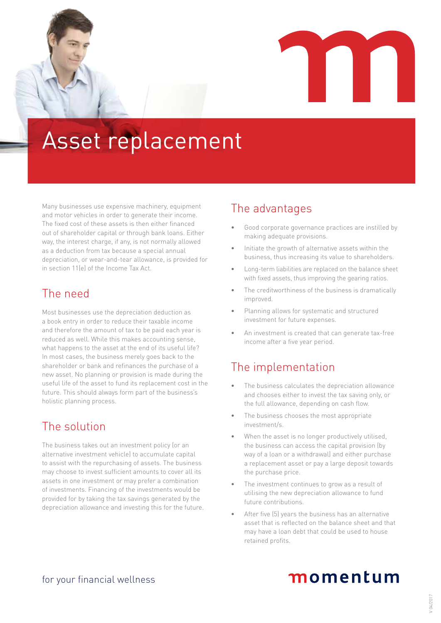

# Asset replacement

Many businesses use expensive machinery, equipment and motor vehicles in order to generate their income. The fixed cost of these assets is then either financed out of shareholder capital or through bank loans. Either way, the interest charge, if any, is not normally allowed as a deduction from tax because a special annual depreciation, or wear-and-tear allowance, is provided for in section 11(e) of the Income Tax Act.

## The need

Most businesses use the depreciation deduction as a book entry in order to reduce their taxable income and therefore the amount of tax to be paid each year is reduced as well. While this makes accounting sense, what happens to the asset at the end of its useful life? In most cases, the business merely goes back to the shareholder or bank and refinances the purchase of a new asset. No planning or provision is made during the useful life of the asset to fund its replacement cost in the future. This should always form part of the business's holistic planning process.

## The solution

The business takes out an investment policy (or an alternative investment vehicle) to accumulate capital to assist with the repurchasing of assets. The business may choose to invest sufficient amounts to cover all its assets in one investment or may prefer a combination of investments. Financing of the investments would be provided for by taking the tax savings generated by the depreciation allowance and investing this for the future.

### The advantages

- Good corporate governance practices are instilled by making adequate provisions.
- Initiate the growth of alternative assets within the business, thus increasing its value to shareholders.
- Long-term liabilities are replaced on the balance sheet with fixed assets, thus improving the gearing ratios.
- The creditworthiness of the business is dramatically improved.
- Planning allows for systematic and structured investment for future expenses.
- An investment is created that can generate tax-free income after a five year period.

## The implementation

- The business calculates the depreciation allowance and chooses either to invest the tax saving only, or the full allowance, depending on cash flow.
- The business chooses the most appropriate investment/s.
- When the asset is no longer productively utilised. the business can access the capital provision (by way of a loan or a withdrawal) and either purchase a replacement asset or pay a large deposit towards the purchase price.
- The investment continues to grow as a result of utilising the new depreciation allowance to fund future contributions.
- After five (5) years the business has an alternative asset that is reflected on the balance sheet and that may have a loan debt that could be used to house retained profits.

## momentum